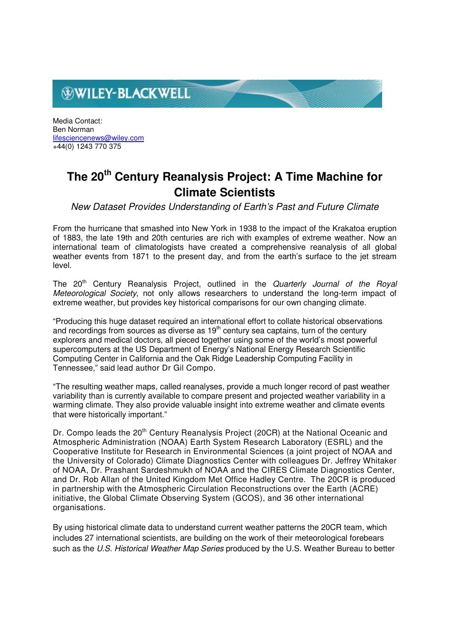# **WILEY-BLACKWELL**

Media Contact: Ben Norman lifesciencenews@wiley.com +44(0) 1243 770 375

## **The 20th Century Reanalysis Project: A Time Machine for Climate Scientists**

New Dataset Provides Understanding of Earth's Past and Future Climate

From the hurricane that smashed into New York in 1938 to the impact of the Krakatoa eruption of 1883, the late 19th and 20th centuries are rich with examples of extreme weather. Now an international team of climatologists have created a comprehensive reanalysis of all global weather events from 1871 to the present day, and from the earth's surface to the jet stream level.

The 20<sup>th</sup> Century Reanalysis Project, outlined in the Quarterly Journal of the Royal Meteorological Society, not only allows researchers to understand the long-term impact of extreme weather, but provides key historical comparisons for our own changing climate.

"Producing this huge dataset required an international effort to collate historical observations and recordings from sources as diverse as 19<sup>th</sup> century sea captains, turn of the century explorers and medical doctors, all pieced together using some of the world's most powerful supercomputers at the US Department of Energy's National Energy Research Scientific Computing Center in California and the Oak Ridge Leadership Computing Facility in Tennessee," said lead author Dr Gil Compo.

"The resulting weather maps, called reanalyses, provide a much longer record of past weather variability than is currently available to compare present and projected weather variability in a warming climate. They also provide valuable insight into extreme weather and climate events that were historically important."

Dr. Compo leads the 20<sup>th</sup> Century Reanalysis Project (20CR) at the National Oceanic and Atmospheric Administration (NOAA) Earth System Research Laboratory (ESRL) and the Cooperative Institute for Research in Environmental Sciences (a joint project of NOAA and the University of Colorado) Climate Diagnostics Center with colleagues Dr. Jeffrey Whitaker of NOAA, Dr. Prashant Sardeshmukh of NOAA and the CIRES Climate Diagnostics Center, and Dr. Rob Allan of the United Kingdom Met Office Hadley Centre. The 20CR is produced in partnership with the Atmospheric Circulation Reconstructions over the Earth (ACRE) initiative, the Global Climate Observing System (GCOS), and 36 other international organisations.

By using historical climate data to understand current weather patterns the 20CR team, which includes 27 international scientists, are building on the work of their meteorological forebears such as the U.S. Historical Weather Map Series produced by the U.S. Weather Bureau to better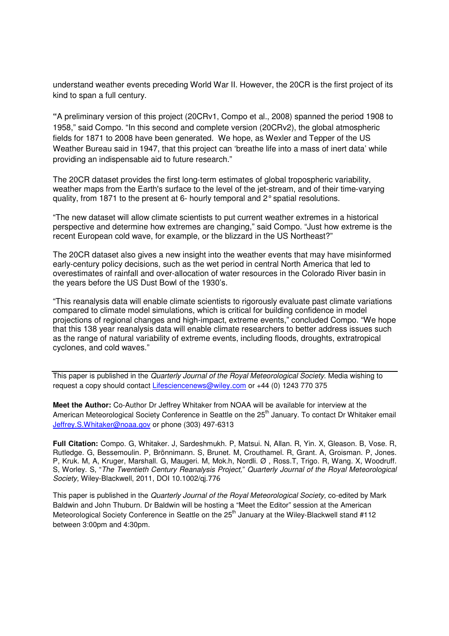understand weather events preceding World War II. However, the 20CR is the first project of its kind to span a full century.

**"**A preliminary version of this project (20CRv1, Compo et al., 2008) spanned the period 1908 to 1958," said Compo. "In this second and complete version (20CRv2), the global atmospheric fields for 1871 to 2008 have been generated. We hope, as Wexler and Tepper of the US Weather Bureau said in 1947, that this project can 'breathe life into a mass of inert data' while providing an indispensable aid to future research."

The 20CR dataset provides the first long-term estimates of global tropospheric variability, weather maps from the Earth's surface to the level of the jet-stream, and of their time-varying quality, from 1871 to the present at 6- hourly temporal and 2° spatial resolutions.

"The new dataset will allow climate scientists to put current weather extremes in a historical perspective and determine how extremes are changing," said Compo. "Just how extreme is the recent European cold wave, for example, or the blizzard in the US Northeast?"

The 20CR dataset also gives a new insight into the weather events that may have misinformed early-century policy decisions, such as the wet period in central North America that led to overestimates of rainfall and over-allocation of water resources in the Colorado River basin in the years before the US Dust Bowl of the 1930's.

"This reanalysis data will enable climate scientists to rigorously evaluate past climate variations compared to climate model simulations, which is critical for building confidence in model projections of regional changes and high-impact, extreme events," concluded Compo. "We hope that this 138 year reanalysis data will enable climate researchers to better address issues such as the range of natural variability of extreme events, including floods, droughts, extratropical cyclones, and cold waves."

This paper is published in the Quarterly Journal of the Royal Meteorological Society. Media wishing to request a copy should contact Lifesciencenews@wiley.com or +44 (0) 1243 770 375

**Meet the Author:** Co-Author Dr Jeffrey Whitaker from NOAA will be available for interview at the American Meteorological Society Conference in Seattle on the 25<sup>th</sup> January. To contact Dr Whitaker email Jeffrey.S.Whitaker@noaa.gov or phone (303) 497-6313

**Full Citation:** Compo. G, Whitaker. J, Sardeshmukh. P, Matsui. N, Allan. R, Yin. X, Gleason. B, Vose. R, Rutledge. G, Bessemoulin. P, Brönnimann. S, Brunet. M, Crouthamel. R, Grant. A, Groisman. P, Jones. P, Kruk. M, A, Kruger, Marshall. G, Maugeri. M, Mok.h, Nordli. Ø , Ross.T, Trigo. R, Wang. X, Woodruff. S, Worley. S, "The Twentieth Century Reanalysis Project," Quarterly Journal of the Royal Meteorological Society, Wiley-Blackwell, 2011, DOI 10.1002/qj.776

This paper is published in the Quarterly Journal of the Royal Meteorological Society, co-edited by Mark Baldwin and John Thuburn. Dr Baldwin will be hosting a "Meet the Editor" session at the American Meteorological Society Conference in Seattle on the 25<sup>th</sup> January at the Wiley-Blackwell stand #112 between 3:00pm and 4:30pm.